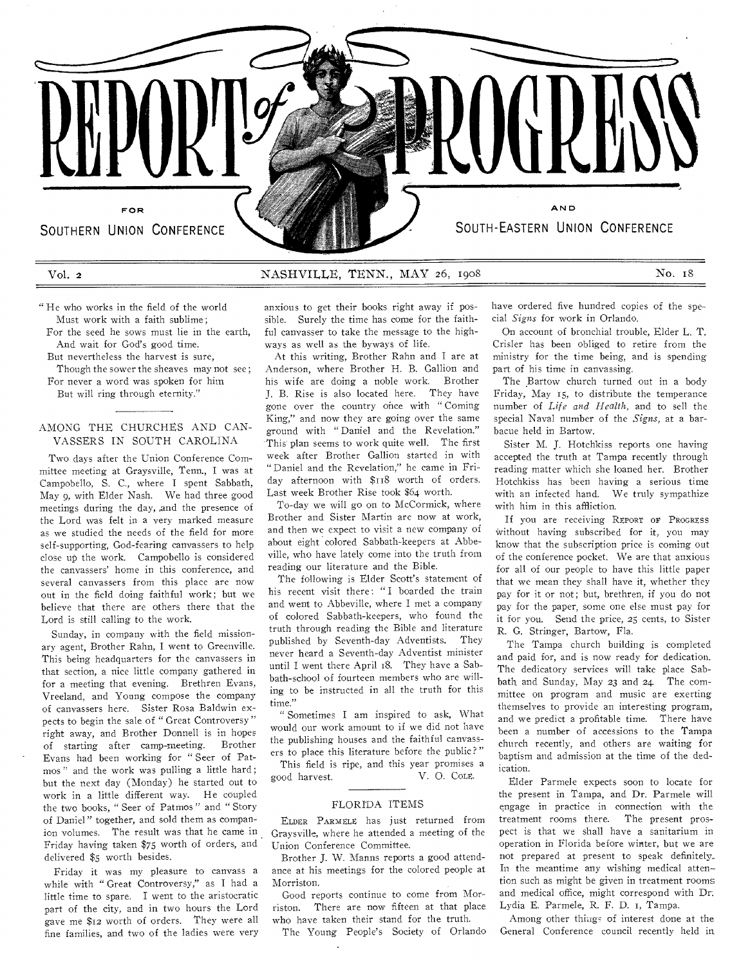

#### Vol. 2 **NASHVILLE, TENN., MAY 26, 1908** No. 18

" He who works in the field of the world Must work with a faith sublime ;

For the seed he sows must lie in the earth, And wait for God's good time.

But nevertheless the harvest is sure,

Though the sower the sheaves may not see ; For never a word was spoken for him

But will ring through eternity."

## AMONG THE CHURCHES AND CAN-VASSERS IN SOUTH CAROLINA

Two days after the Union Conference Committee meeting at Graysville, Tenn., I was at Campobello, S. C., where I spent Sabbath, May 9, with Elder Nash. We had three good meetings during the day, and the presence of the Lord was felt in a very marked measure as we studied the needs of the field for more self-supporting, God-fearing canvassers to help close up the work. Campobello is considered the canvassers' home in this conference, and several canvassers from this place are now out in the field doing faithful work; but we believe that there are others there that the Lord is still calling to the work.

Sunday, in company with the field missionary agent, Brother Rahn, I went to Greenville. This being headquarters for the canvassers in that section, a nice little company gathered in for a meeting that evening. Brethren Evans, Vreeland, and Young compose the company of canvassers here. Sister Rosa Baldwin expects to begin the sale of " Great Controversy " right away, and Brother Donnell is in hopes of starting after camp-meeting. Brother Evans had been working for " Seer of Patmos" and the work was pulling a little hard; but the next day (Monday) he started out to work in a little different way. He coupled the two books, " Seer of Patmos " and " Story of Daniel " together, and sold them as companion volumes. The result was that he came in Friday having taken \$75 worth of orders, and delivered \$5 worth besides.

Friday it was my pleasure to canvass a while with " Great Controversy," as I had a little time to spare. I went to the aristocratic part of the city, and in two hours the Lord gave me \$12 worth of orders. They were all fine families, and two of the ladies were very

anxious to get their books right away if possible. Surely the time has come for the faithful canvasser to take the message to the highways as well as the byways of life.

At this writing, Brother Rahn and I are at Anderson, where Brother H. B. Gallion and his wife are doing a noble work. Brother J. B. Rise is also located here. They have gone over the country once with " Coming King," and now they are going over the same ground with " Daniel and the Revelation." This plan seems to work quite well. The first week after Brother Gallion started in with " Daniel and the Revelation," he came in Friday afternoon with \$118 worth of orders. Last week Brother Rise took \$64 worth.

To-day we will go on to McCormick, where Brother and Sister Martin are now at work, and then we expect to visit a new company of about eight colored Sabbath-keepers at Abbeville, who have lately come into the truth from reading our literature and the Bible.

The following is Elder Scott's statement of his recent visit there: "I boarded the train and went to Abbeville, where I met a company of colored Sabbath-keepers, who found the truth through reading the Bible and literature published by Seventh-day Adventists. They never heard a Seventh-day Adventist minister until I went there April 18. They have a Sabbath-school of fourteen members who are willing to be instructed in all the truth for this time."

" Sometimes I am inspired to ask, What would our work amount to if we did not have the publishing houses and the faithful canvassers to place this literature before the public?"

This field is ripe, and this year promises a good harvest. V. 0. COLE.

# FLORIDA ITEMS

ELDER PARMELE has just returned from Graysville, where he attended a meeting of the Union Conference Committee.

Brother J. W. Manns reports a good attendance at his meetings for the colored people at Morriston.

Good reports continue to come from Morriston. There are now fifteen at that place who have taken their stand for the truth.

The Young People's Society of Orlando

have ordered five hundred copies of the special *Signs* for work in Orlando.

On account of bronchial trouble, Elder L. T. Crisler has been obliged to retire from the ministry for the time being, and is spending part of his time in canvassing.

The Bartow church turned out in a body Friday, May 15, to distribute the temperance number of *Life and Health,* and to sell the special Naval number of the *Signs,* at a barbacue held in Bartow.

Sister M. J. Hotchkiss reports one having accepted the truth at Tampa recently through reading matter which she loaned her. Brother Hotchkiss has been having a serious time with an infected hand. We truly sympathize with him in this affliction.

If you are receiving REPORT OP PROGRESS Without having subscribed for it, you may know that the subscription price is coming out of the conference pocket. We are that anxious for all of our people to have this little paper that we mean they shall have it, whether they pay for it or not; but, brethren, if you do not pay for the paper, some one else must pay for it for you. Send the price, 25 cents, to Sister R. G. Stringer, Bartow, Fla.

The Tampa church building is completed and paid for, and is now ready for dedication. The dedicatory services will take place Sabbath and Sunday, May 23 and 24. The committee on program and music are exerting themselves to provide an interesting program, and we predict a profitable time. There have been a number of accessions to the Tampa church recently, and others are waiting for baptism and admission at the time of the dedication.

Elder Parmele expects soon to locate for the present in Tampa, and Dr. Parmele will engage in practice in connection with the treatment rooms there. The present prospect is that we shall have a sanitarium in operation in Florida before winter, but we are not prepared at present to speak definitely,. In the meantime any wishing medical atten tion such as might be given in treatment rooms and medical office, might correspond with Dr. Lydia E. Parmele, R. F. D. 1, Tampa.

Among other things of interest done at the General Conference council recently held in,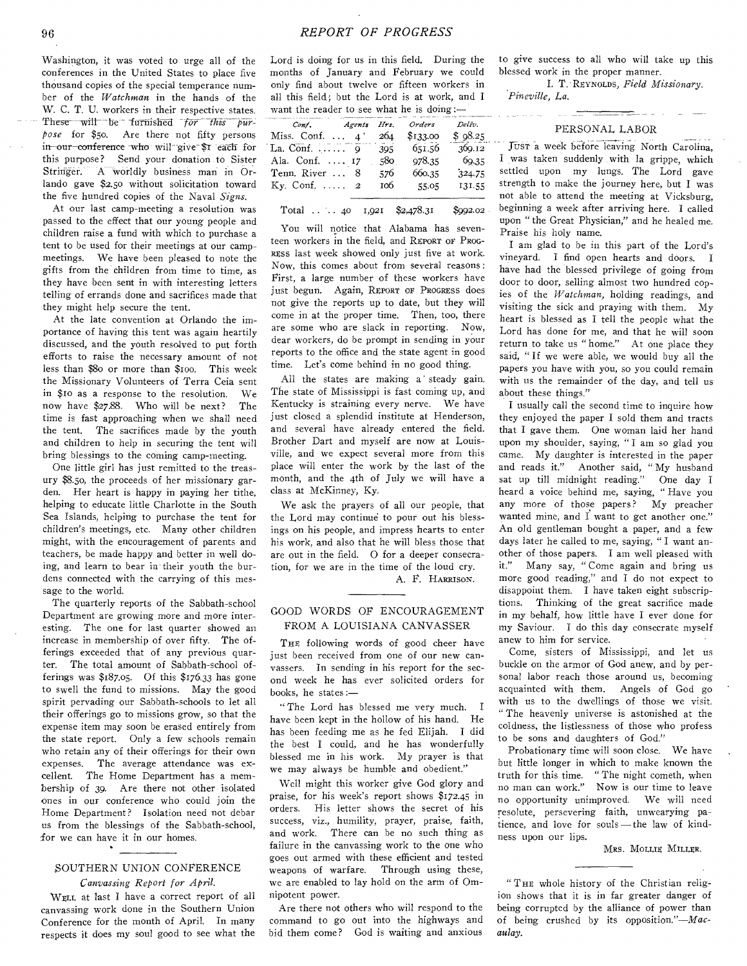Washington, it was voted to urge all of the conferences in the United States to place five thousand copies of the special temperance number of the *Watchman* in the hands of the W. C. T. U. workers in their respective states. These will be furnished *for this purpose* for \$50. Are there not fifty persons in-our-conference who will give \$1 each for this purpose? Send your donation to Sister Stringer. A worldly business man in Orlando gave \$2.5o without solicitation toward the five hundred copies of the Naval *Signs.* 

At our last camp-meeting a resolution was passed to the effect that our young people and children raise a fund with which to purchase a tent to be used for their meetings at our campmeetings. We have been pleased to note the gifts from the children from time to time, as they have been sent in with interesting letters telling of errands done and sacrifices made that they might help secure the tent.

At the late convention at Orlando the importance of having this tent was again heartily discussed, and the youth resolved to put forth efforts to raise the necessary amount of not less than \$8o or more than \$ioo. This week the Missionary Volunteers of Terra Ceia sent in \$10 as a response to the resolution. We now have \$27.88. Who will be next? The time is fast approaching when we shall need the tent. The sacrifices made by the youth and children to help in securing the tent will bring blessings to the coming camp-meeting.

One little girl has just remitted to the treasury \$8.5o, the proceeds of her missionary garden. Her heart is happy in paying her tithe, helping to educate little Charlotte in the South Sea Islands, helping to purchase the tent for children's meetings, etc. Many other children might, with the encouragement of parents and teachers, be made happy and better in well doing, and learn to bear in their youth the burdens connected with the carrying of this message to the world.

The quarterly reports of the Sabbath-school Department are growing more and more interesting. The one for last quarter showed an increase in membership of over fifty. The offerings exceeded that of any previous quarter. The total amount of Sabbath-school offerings was \$187.05. Of this \$176.33 has gone to swell the fund to missions. May the good spirit pervading our Sabbath-schools to let all their offerings go to missions grow, so that the expense item may soon be erased entirely from the state report. Only a few schools remain who retain any of their offerings for their own expenses. The average attendance was excellent. The Home Department has a membership of 39. Are there not other isolated ones in our conference who could join the Home Department? Isolation need not debar us from the blessings of the Sabbath-school, -for we can have it in our homes.

## SOUTHERN UNION CONFERENCE *Canvassing Report for April.*

WELL at last I have a correct report of all canvassing work done in the Southern Union Conference for the month of April. In many respects it does my soul good to see what the Lord is doing for us in this field. During the months of January and February we could only find about twelve or fifteen workers in all this field; but the Lord is at work, and I want the reader to see what he is doing:—

| Conf. Agents Hrs. Orders      |     |            | Deliv.  |
|-------------------------------|-----|------------|---------|
| Miss. Conf. 4' $264$ \$133.00 |     |            | \$98.25 |
| La. Conf. $\ldots$ 9          |     | 395 651.56 | 369.12  |
| Ala. Conf.  17                | 580 | 978.35     | 69.35   |
| Tenn. River  8                | 576 | 660.35     | 324.75  |
| Ky. Conf. $\ldots$ 2          | 106 | 55.05      | 131.55  |

Total .. 4o 1,921 \$2,478.31 \$992.02

You will notice that Alabama has seventeen workers in the field, and REPORT OE PROG-RESS last week showed only just five at work. Now, this comes about from several reasons : First, a large number of these workers have just begun. Again, REPORT OF PROGRESS does not give the reports up to date, but they will come in at the proper time. Then, too, there are some who are slack in reporting. Now, dear workers, do be prompt in sending in your reports to the office and the state agent in good time. Let's come behind in no good thing.

All the states are making a' steady gain. The state of Mississippi is fast coming up, and Kentucky is straining every nerve. We have just closed a splendid institute at Henderson, and several have already entered the field. Brother Dart and myself are now at Louisville, and we expect several more from this place will enter the work by the last of the month, and the 4th of July we will have a class at McKinney, Ky.

We ask the prayers of all our people, that the Lord may continue to pour out his blessings on his people, and impress hearts to enter his work, and also that he will bless those that are out in the field. O for a deeper consecration, for we are in the time of the loud cry. A. F. HARRISON.

## GOOD WORDS OF ENCOURAGEMENT FROM A LOUISIANA CANVASSER

THE following words of good cheer have just been received from one of our new canvassers. In sending in his report for the second week he has ever solicited orders for books, he states :—

" The Lord has blessed me very much. I have been kept in the hollow of his hand. He has been feeding me as he fed Elijah. I did the best I could, and he has wonderfully blessed me in his work. My prayer is that we may always be humble and obedient."

Well might this worker give God glory and praise, for his week's report shows \$172.45 in orders. His letter shows the secret of his success, viz., humility, prayer, praise, faith, and work. There can be no such thing as failure in the canvassing work to the one who goes out armed with these efficient and tested weapons of warfare. Through using these, we are enabled to lay hold on the arm of Omnipotent power.

Are there not others who will respond to the command to go out into the highways and bid them come? God is waiting and anxious

to give success to all who will take up this blessed work in the proper manner.

I. T. REYNOLDS, *Field Missionary. 'Pineville, La.* 

#### PERSONAL LABOR

JUST a week before leaving North Carolina, I was taken suddenly with la grippe, which settled upon my lungs. The Lord gave strength to make the journey here, but I was not able to attend the meeting at Vicksburg, beginning a week after arriving here. I called upon " the Great Physician," and he healed me. Praise his holy name.

I am glad to be in this part of the Lord's vineyard. I find open hearts and doors. I have had the blessed privilege of going from door to door, selling almost two hundred copies of the *Watchman,* holding readings, and visiting the sick and praying with them. My heart is blessed as I tell the people what the Lord has done for me, and that he will soon return to take us " home." At one place they said, " If we were able, we would buy all the papers you have with you, so you could remain with us the remainder of the day, and tell us about these things."

I usually call the second time to inquire how they enjoyed the paper I sold them and tracts that I gave them. One woman laid her hand upon my shoulder, saying, " I am so glad you came. My daughter is interested in the paper and reads it." Another said, " My husband sat up till midnight reading." One day I heard a voice behind me, saying, " Have you any more of those papers? My preacher wanted mine, and I want to get another one." An old gentleman bought a paper, and a few days later he called to me, saying, " I want another of those papers. I am well pleased with it." Many say, " Come again and bring us more good reading," and I do not expect to disappoint them. I have taken eight subscriptions. Thinking of the great sacrifice made in my behalf, how little have I ever done for my Saviour. I do this day consecrate myself anew to him for service.

Come, sisters of Mississippi, and let us buckle on the armor of God anew, and by personal labor reach those around us, becoming acquainted with them. Angels of God go with us to the dwellings of those we visit. " The heavenly universe is astonished at the coldness, the listlessness of those who profess to be sons and daughters of God."

Probationary time will soon close. We have but little longer in which to make known the truth for this time. " The night cometh, when no man can work." Now is our time to leave no opportunity unimproved. We will need resolute, persevering faith, unwearying patience, and love for souls — the law of kindness upon our lips.

#### MRS. MOLLIE MILLER.

" THE whole history of the Christian religion shows that it is in far greater danger of being corrupted by the alliance of power than of being crushed by its opposition."—Macaulay.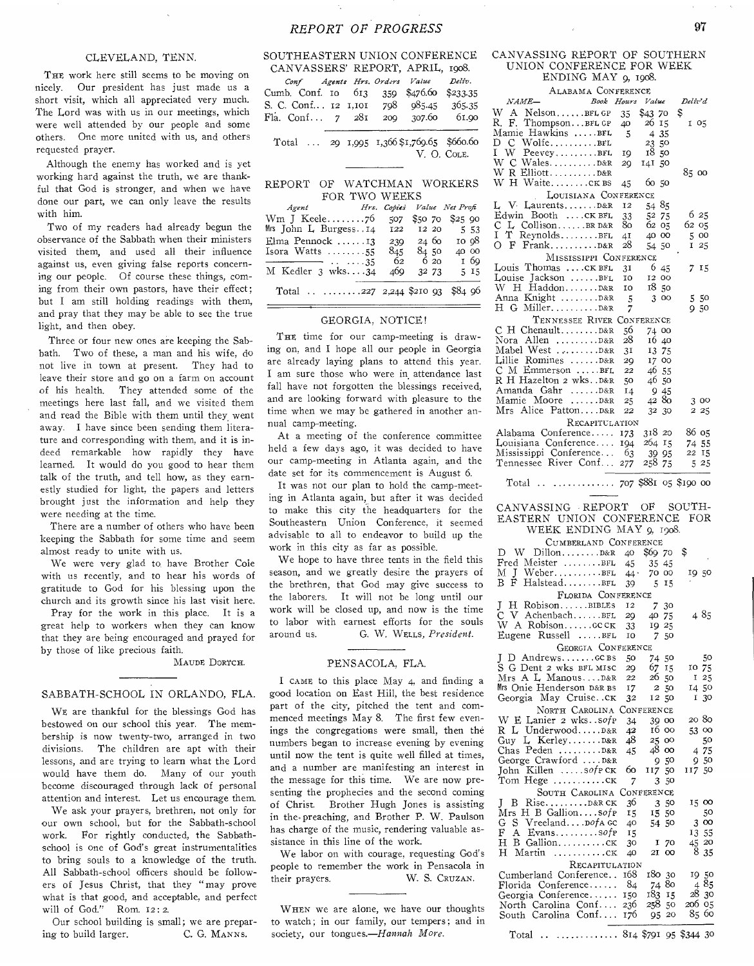## *REPORT OF PROGRESS* 97

#### CLEVELAND, TENN.

THE work here still seems to be moving on nicely. Our president has just made us a short visit, which all appreciated very much. The Lord was with us in our meetings, which were well attended by our people and some others. One more united with us, and others requested prayer.

Although the enemy has worked and is yet working hard against the truth, we are thankful that God is stronger, and when we have done our part, we can only leave the results with him.

Two of my readers had already begun the observance of the Sabbath when their ministers visited them, and used all their influence against us, even giving false reports concerning our people. Of course these things, coming from their own pastors, have their effect; but I am still holding readings with them, and pray that they may be able to see the true light, and then obey.

Three or four new ones are keeping the Sabbath. Two of these, a man and his wife, do not live in town at present. They had to leave their store and go on a farm on account of his health. They attended some of the meetings here last fall, and we visited them and read the Bible with them until they went away. I have since been sending them literature and corresponding with them, and it is indeed remarkable how rapidly they have learned. It would do you good to hear them talk of the truth, and tell how, as they earnestly studied for light, the papers and letters brought just the information and help they were needing at the time.

There are a number of others who have been keeping the Sabbath for some time and seem almost ready to unite with us.

We were very glad to have Brother Cole with us recently, and to hear his words of gratitude to God for his blessing upon the church and its growth since his last visit here.

Pray for the work in this place. It is a great help to workers when they can know that they are being encouraged and prayed for by those of like precious faith.

MAUDE DORTCH.

#### SABBATH-SCHOOL IN ORLANDO, FLA.

WE are thankful for the blessings God has bestowed on our school this year. The membership is now twenty-two, arranged in two divisions. The children are apt with their lessons, and are trying to learn what the Lord would have them do. Many of our youth become discouraged through lack of personal attention and interest. Let us encourage them.

We ask your prayers, brethren, not only for our own school, but for the Sabbath-school work. For rightly conducted, the Sabbathschool is one of God's great instrumentalities to bring souls to a knowledge of the truth. All Sabbath-school officers should be followers of Jesus Christ, that they "may prove what is that good, and acceptable, and perfect will of God." Rom. 12:2.

Our school building is small; we are preparing to build larger. C. G. MANNS.

#### SOUTHEASTERN UNION CONFERENCE CANVASSERS' REPORT, APRIL, 1908.

|  |  |  | Conf Agents Hrs. Orders Value<br>Cumb. Conf. 10 613 359 \$476.60 \$233.35<br>S. C. Conf 12 1,101 798 985.45 365.35<br>Fla. Conf 7 281 209 307.60 61.90 | Deliv.      |
|--|--|--|--------------------------------------------------------------------------------------------------------------------------------------------------------|-------------|
|  |  |  | Total  29 1,995 1,366 \$1,769.65 \$660.60                                                                                                              | V. O. COLE. |

|  |               | REPORT OF WATCHMAN WORKERS |
|--|---------------|----------------------------|
|  | FOR TWO WEEKS |                            |

| Agent Mrs. Copies Value Net Profi     |     |          |                                           |
|---------------------------------------|-----|----------|-------------------------------------------|
|                                       |     |          | 507 \$50 70 \$25 90                       |
| Mrs John L. Burgess14 122             |     | 12 20    | 5 53                                      |
| Elma Pennock $\dots \dots$ 13         | 239 | $24\,60$ | 10 Q8                                     |
| Isora Watts $\ldots \ldots \ldots 55$ | 845 | 84.50    | 40 00                                     |
|                                       | -62 | 6 20     | 1 69                                      |
| M Kedler $3$ wks $34$                 | 469 | 32 73    | 5 15                                      |
| the contract of the contract of the   |     |          | $\sim$ $\sim$ $\sim$ $\sim$ $\sim$ $\sim$ |

Total  $\ldots$   $\ldots$   $\ldots$   $\ldots$   $\ldots$   $\ldots$   $\ldots$   $\ldots$   $\ldots$   $\ldots$   $\ldots$   $\ldots$   $\ldots$   $\ldots$   $\ldots$   $\ldots$   $\ldots$   $\ldots$   $\ldots$   $\ldots$   $\ldots$   $\ldots$   $\ldots$   $\ldots$   $\ldots$   $\ldots$   $\ldots$   $\ldots$   $\ldots$   $\ldots$   $\ldots$   $\ldots$   $\ldots$   $\ldots$   $\ldots$   $\ldots$ 

#### GEORGIA, NOTICE!

THE time for our camp-meeting is drawing on, and I hope all our people in Georgia are already laying plans to attend this year. I am sure those who were in attendance last fall have not forgotten the blessings received, and are looking forward with pleasure to the time when we may be gathered in another annual camp-meeting.

At a meeting of the conference committee held a few days ago, it was decided to have our camp-meeting in Atlanta again, and the date set for its commencement is August 6.

It was not our plan to hold the camp-meeting in Atlanta again, but after it was decided to make this city the headquarters for the Southeastern Union Conference, it seemed advisable to all to endeavor to build up the work in this city as far as possible.

We hope to have three tents in the field this season, and we greatly desire the prayers of the brethren, that God may give success to the laborers. It will not be long until our work will be closed up, and now is the time to labor with earnest efforts for the souls around us. G. W. WELLs, *President.* 

#### PENSACOLA, FLA.

I CAME to this place May 4, and finding a good location on East Hill, the best residence part of the city, pitched the tent and commenced meetings May 8. The first few evenings the congregations were small, then the numbers began to increase evening by evening until now the tent is quite well filled at times, and a number are manifesting an interest in the message for this time. We are now presenting the prophecies and the second coming of Christ. Brother Hugh Jones is assisting in the. preaching, and Brother P. W. Paulson has charge of the music, rendering valuable assistance in this line of the work.

We labor on with courage, requesting God's people to remember the work in Pensacola in their prayers. W. S. CRUZAN.

WHEN we are alone, we have our thoughts to watch; in our family, our tempers; and in society, our tongues.—Hannah *More.* 

#### CANVASSING REPORT OF SOUTHERN UNION CONFERENCE FOR WEEK ENDING MAY 9, 1908.

| ALABAMA CONFERENCE           |      |         |               |
|------------------------------|------|---------|---------------|
| NAME-<br>Book Hours          |      | Value   | Deliv'd       |
| W A NelsonBFL GP             | 35   | \$43.70 | \$            |
| R. F.<br>ThompsonBFL GP      | 40   | 26 15   | 1 05          |
| Mamie Hawkins BFL            | 5    | 4 3 5   |               |
| C WolfeBFL<br>D              |      | 23 50   |               |
| I W PeeveyBFL                | 19   | 1850    |               |
|                              | 20   | 141 50  |               |
| W R Elliott D&R              |      |         | 85 00         |
| W H Waite CK BS              | 45   | 6050    |               |
| LOUISIANA CONFERENCE         |      |         |               |
| L V Laurents D&R             | 12   | 54 85   |               |
| Edwin Booth CK BFL           | 33   | 52 75   | 6 25          |
| L CollisonBRD&R<br>С         | 80 - | 62 05   | 62 05         |
| I.<br>T ReynoldsBFL          | 4I   | 40 00   | 500           |
|                              | 28   | 54 50   | 125           |
| MISSISSIPPI CONFERENCE       |      |         |               |
| Louis Thomas  . CK BFL       | 31   | 6 45    | 7 15          |
| Louise Jackson $\dots \dots$ | IO   | 12 00   |               |
| W H HaddonD&R                | I0   | 1850    |               |
| Anna Knight D&R              | 5    | 300     | 5 50          |
|                              | 7    |         | 950           |
| TENNESSEE RIVER CONFERENCE   |      |         |               |
| $C$ H Chenault $D\&R$        | 56   | 74 00   |               |
| Nora Allen  D&R              | 28   | 16 40   |               |
| Mabel West D&R               | 31   | 13 75   |               |
| Lillie Romines D&R           | 20   | 17 00   |               |
| $C$ M Emmerson BFL           | 22   | 46 55   |               |
| R H Hazelton 2 wksD&R        | 50   | 46 50   |               |
| Amanda Gahr D&R              | 14   | 9 45    |               |
| Mamie Moore D&R              | 25   | 4280    | 3 00          |
| Mrs Alice PattonD&R          | 22   | 32 30   | 2 25          |
| RECAPITULATION               |      |         |               |
| Alabama Conference 173       |      | 318 20  | 86 о5         |
| Louisiana Conference 194     |      | 264 15  | 74 55         |
| Mississippi Conference 63    |      | 39 95   | 22 15         |
| Tennessee River Conf         | 277  | 258     | 75<br>525     |
|                              |      |         |               |
| $m \cdot 1$                  |      |         | $0.00 - 0.00$ |

Total  $\ldots$   $\ldots$   $\ldots$   $\frac{707}{8881}$  05 \$190 00

#### CANVASSING REPORT OF SOUTH-EASTERN UNION CONFERENCE FOR WEEK ENDING MAY 9, 1908.

| CUMBERLAND CONFERENCE          |      |          |                 |  |  |  |
|--------------------------------|------|----------|-----------------|--|--|--|
| W $Dillon$ $D&R$ 40<br>D.      |      | \$69.70  | \$              |  |  |  |
| Fred Meister BFL $45$          |      | 35 45    |                 |  |  |  |
| $M$ J Weber $44$               |      | 70<br>OO | 1950            |  |  |  |
| ВF<br>HalsteadBFL              | 39   | 5<br>15  |                 |  |  |  |
| FLORIDA CONFERENCE             |      |          |                 |  |  |  |
| J<br>H RobisonBIBLES           | 12   | 7 30     |                 |  |  |  |
| C V AchenbachBFL               | 29   | 40<br>75 | 485             |  |  |  |
| W A Robisonccck                | 33   | 19 25    |                 |  |  |  |
| Eugene Russell BFL             | I0   | 7.<br>50 |                 |  |  |  |
| GEORGIA CONFERENCE             |      |          |                 |  |  |  |
|                                | 50   | 74 50    | 50              |  |  |  |
| S G Dent 2 wks BFL MISC        | 29   | 67 15    | 10 75           |  |  |  |
| Mrs A L ManousD&R              | 22   | 26 50    | 25<br>1         |  |  |  |
| Mrs Onie Henderson D&R BS      | 17   | 2 50     | 14 50           |  |  |  |
| Georgia May Cruiseck           | 32   | 12 50    | 1 30            |  |  |  |
| NORTH CAROLINA CONFERENCE      |      |          |                 |  |  |  |
| W E Lanier 2 wks. . sofp       | 34   | 39 00    | 20 80           |  |  |  |
| R L UnderwoodD&R               | 42   | 16 00    | 53 00           |  |  |  |
| Guy L KerleyD&R                | 48   | 25 00    | 50              |  |  |  |
| Chas Peden $D&R$               | 45   | 48 oo    | 4 75            |  |  |  |
| George Crawford D&R            |      | 9.50     | 950             |  |  |  |
| John Killen $\ldots$ sofp $CK$ | 60   | 117 50   | 11750           |  |  |  |
| Tom Hege ck                    | 7    | 3 50     |                 |  |  |  |
| SOUTH CAROLINA CONFERENCE      |      |          |                 |  |  |  |
| B Rise D&R CK<br>T             | 36   | 3 50     | 15 00           |  |  |  |
| Mrs H B Gallionsofp            | 15   | 15 50    | 50              |  |  |  |
| G S Vreeland DofA GC           | 40   | 54 50    | 3 00            |  |  |  |
| A Evanssofp<br>F               | 15   |          | 13 55           |  |  |  |
| H B Gallionck                  | 30   | I 70     | 45 20           |  |  |  |
| Н<br>Martin<br>. CK            | 40   | 21 00    | 8<br>35         |  |  |  |
| RECAPITULATION                 |      |          |                 |  |  |  |
| Cumberland Conference          | 168  | 180 30   | 1950            |  |  |  |
| Florida Conference             | -84  | 74 80    | 485             |  |  |  |
| Georgia Conference             | 150  | 183 15   | 28 30           |  |  |  |
| North Carolina Conf            | -236 | 258 50   | 206 05          |  |  |  |
| South Carolina Conf 176        |      | 95.      | 85.<br>60<br>20 |  |  |  |
|                                |      |          |                 |  |  |  |

Total .. ............ 814 \$791 95 \$344 30